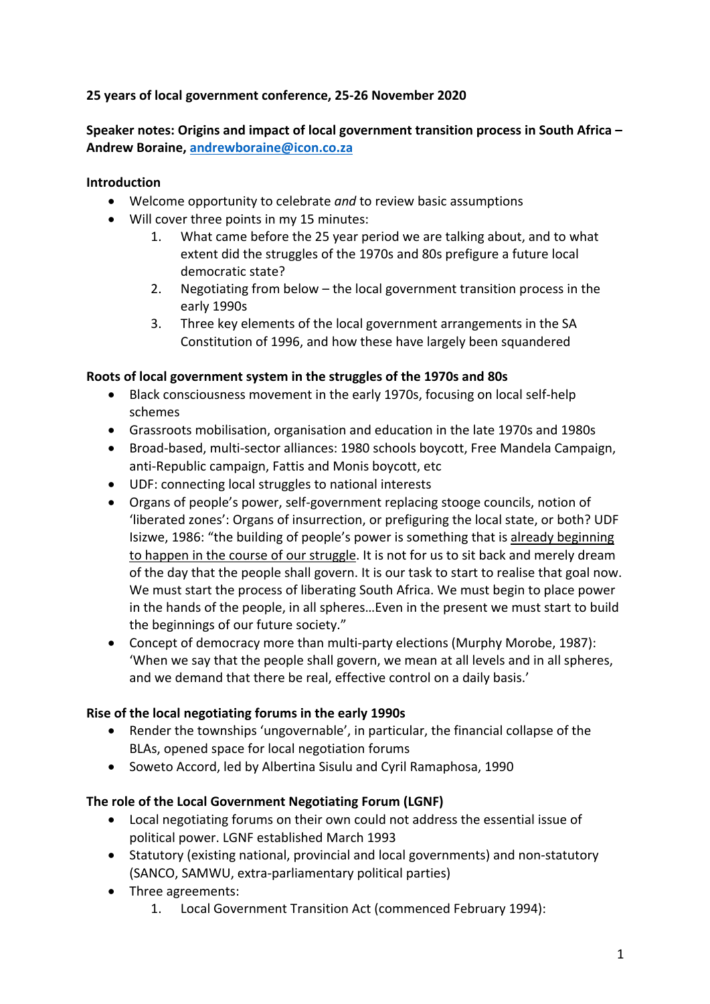# **25 years of local government conference, 25-26 November 2020**

**Speaker notes: Origins and impact of local government transition process in South Africa – Andrew Boraine, andrewboraine@icon.co.za**

## **Introduction**

- Welcome opportunity to celebrate *and* to review basic assumptions
- Will cover three points in my 15 minutes:
	- 1. What came before the 25 year period we are talking about, and to what extent did the struggles of the 1970s and 80s prefigure a future local democratic state?
	- 2. Negotiating from below the local government transition process in the early 1990s
	- 3. Three key elements of the local government arrangements in the SA Constitution of 1996, and how these have largely been squandered

### **Roots of local government system in the struggles of the 1970s and 80s**

- Black consciousness movement in the early 1970s, focusing on local self-help schemes
- Grassroots mobilisation, organisation and education in the late 1970s and 1980s
- Broad-based, multi-sector alliances: 1980 schools boycott, Free Mandela Campaign, anti-Republic campaign, Fattis and Monis boycott, etc
- UDF: connecting local struggles to national interests
- Organs of people's power, self-government replacing stooge councils, notion of 'liberated zones': Organs of insurrection, or prefiguring the local state, or both? UDF Isizwe, 1986: "the building of people's power is something that is already beginning to happen in the course of our struggle. It is not for us to sit back and merely dream of the day that the people shall govern. It is our task to start to realise that goal now. We must start the process of liberating South Africa. We must begin to place power in the hands of the people, in all spheres…Even in the present we must start to build the beginnings of our future society."
- Concept of democracy more than multi-party elections (Murphy Morobe, 1987): 'When we say that the people shall govern, we mean at all levels and in all spheres, and we demand that there be real, effective control on a daily basis.'

## **Rise of the local negotiating forums in the early 1990s**

- Render the townships 'ungovernable', in particular, the financial collapse of the BLAs, opened space for local negotiation forums
- Soweto Accord, led by Albertina Sisulu and Cyril Ramaphosa, 1990

## **The role of the Local Government Negotiating Forum (LGNF)**

- Local negotiating forums on their own could not address the essential issue of political power. LGNF established March 1993
- Statutory (existing national, provincial and local governments) and non-statutory (SANCO, SAMWU, extra-parliamentary political parties)
- Three agreements:
	- 1. Local Government Transition Act (commenced February 1994):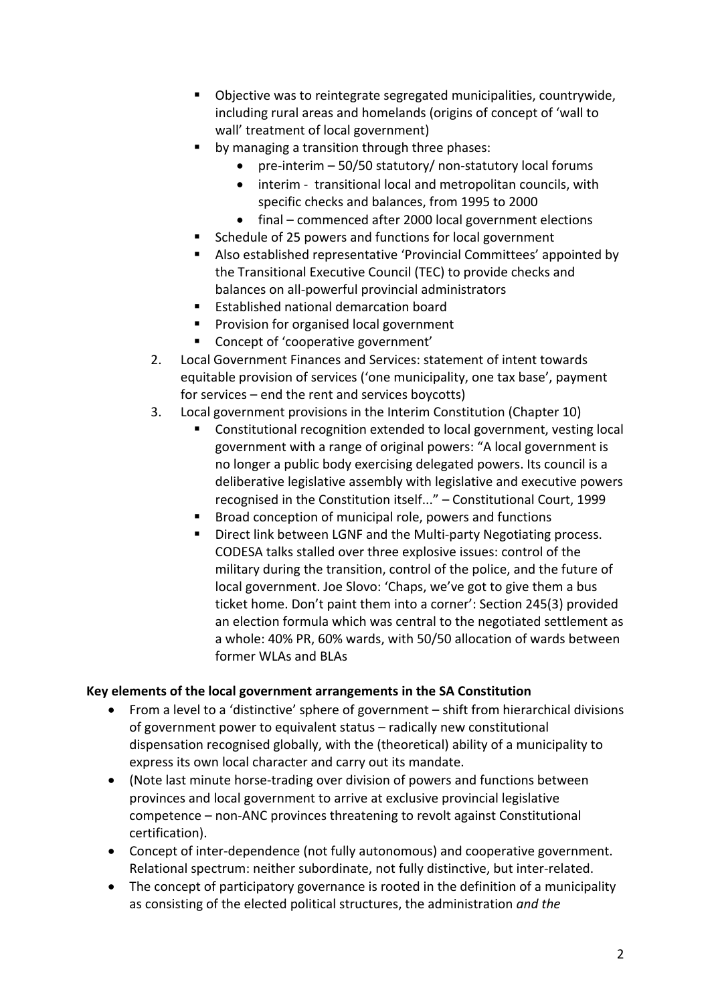- Objective was to reintegrate segregated municipalities, countrywide, including rural areas and homelands (origins of concept of 'wall to wall' treatment of local government)
- by managing a transition through three phases:
	- pre-interim 50/50 statutory/ non-statutory local forums
	- interim transitional local and metropolitan councils, with specific checks and balances, from 1995 to 2000
	- final commenced after 2000 local government elections
- § Schedule of 25 powers and functions for local government
- § Also established representative 'Provincial Committees' appointed by the Transitional Executive Council (TEC) to provide checks and balances on all-powerful provincial administrators
- Established national demarcation board
- Provision for organised local government
- § Concept of 'cooperative government'
- 2. Local Government Finances and Services: statement of intent towards equitable provision of services ('one municipality, one tax base', payment for services – end the rent and services boycotts)
- 3. Local government provisions in the Interim Constitution (Chapter 10)
	- § Constitutional recognition extended to local government, vesting local government with a range of original powers: "A local government is no longer a public body exercising delegated powers. Its council is a deliberative legislative assembly with legislative and executive powers recognised in the Constitution itself..." – Constitutional Court, 1999
	- Broad conception of municipal role, powers and functions
	- Direct link between LGNF and the Multi-party Negotiating process. CODESA talks stalled over three explosive issues: control of the military during the transition, control of the police, and the future of local government. Joe Slovo: 'Chaps, we've got to give them a bus ticket home. Don't paint them into a corner': Section 245(3) provided an election formula which was central to the negotiated settlement as a whole: 40% PR, 60% wards, with 50/50 allocation of wards between former WLAs and BLAs

## **Key elements of the local government arrangements in the SA Constitution**

- From a level to a 'distinctive' sphere of government shift from hierarchical divisions of government power to equivalent status – radically new constitutional dispensation recognised globally, with the (theoretical) ability of a municipality to express its own local character and carry out its mandate.
- (Note last minute horse-trading over division of powers and functions between provinces and local government to arrive at exclusive provincial legislative competence – non-ANC provinces threatening to revolt against Constitutional certification).
- Concept of inter-dependence (not fully autonomous) and cooperative government. Relational spectrum: neither subordinate, not fully distinctive, but inter-related.
- The concept of participatory governance is rooted in the definition of a municipality as consisting of the elected political structures, the administration *and the*